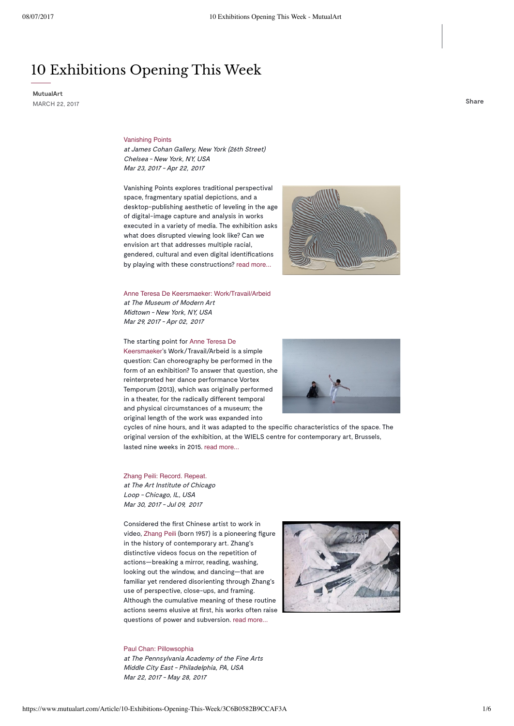# 10 Exhibitions Opening This Week

**MutualArt** MARCH 22, <sup>2017</sup> **Share**

#### [Vanishing Points](https://www.mutualart.com/Exhibition/Vanishing-Points/9D5FD0EC4EF14005)

at James Cohan Gallery, New York (26th Street) Chelsea - New York, NY, USA Mar 23, 2017 - Apr 22, 2017

Vanishing Points explores traditional perspectival space, fragmentary spatial depictions, and a desktop-publishing aesthetic of leveling in the age of digital-image capture and analysis in works executed in a variety of media. The exhibition asks what does disrupted viewing look like? Can we envision art that addresses multiple racial, gendered, cultural and even digital identifications by playing with these constructions? [read more...](https://www.mutualart.com/Exhibition/Vanishing-Points/9D5FD0EC4EF14005)



[Anne Teresa De Keersmaeker: Work/Travail/Arbeid](https://www.mutualart.com/Exhibition/Anne-Teresa-De-Keersmaeker--Work-Travail/50CBEFC17B2F4272) at The Museum of Modern Art Midtown - New York, NY, USA Mar 29, 2017 - Apr 02, 2017

#### The starting point for Anne Teresa De

Keersmaeker's [Work/Travail/Arbeid](https://www.mutualart.com/Artist/Anne-Teresa-De-Keersmaeker/B77693E385D3ED31) is a simple question: Can choreography be performed in the form of an exhibition? To answer that question, she reinterpreted her dance performance Vortex Temporum (2013), which was originally performed in a theater, for the radically different temporal and physical circumstances of a museum; the original length of the work was expanded into



cycles of nine hours, and it was adapted to the specific characteristics of the space. The original version of the exhibition, at the WIELS centre for contemporary art, Brussels, lasted nine weeks in 2015. [read more...](https://www.mutualart.com/Exhibition/Anne-Teresa-De-Keersmaeker--Work-Travail/50CBEFC17B2F4272)

#### [Zhang Peili: Record. Repeat.](https://www.mutualart.com/Exhibition/Zhang-Peili--Record--Repeat-/A9061B4DD9555FB7) at The Art Institute of Chicago Loop - Chicago, IL, USA

Mar 30, 2017 -Jul 09, 2017

Considered the first Chinese artist to work in video, [Zhang Peili](https://www.mutualart.com/Artist/Zhang-Peili/51F0B6E1BA3C17A1) (born 1957) is a pioneering figure in the history of contemporary art. Zhang's distinctive videos focus on the repetition of actions—breaking a mirror, reading, washing, looking out the window, and dancing—that are familiar yet rendered disorienting through Zhang's use of perspective, close-ups, and framing. Although the cumulative meaning of these routine actions seems elusive at first, his works often raise questions of power and subversion. [read more...](https://www.mutualart.com/Exhibition/Zhang-Peili--Record--Repeat-/A9061B4DD9555FB7)

#### [Paul Chan: Pillowsophia](https://www.mutualart.com/Exhibition/Paul-Chan--Pillowsophia/D7B3528C049ABEEC)

at The Pennsylvania Academy of the Fine Arts Middle City East - Philadelphia, PA, USA Mar 22, 2017 - May 28, 2017

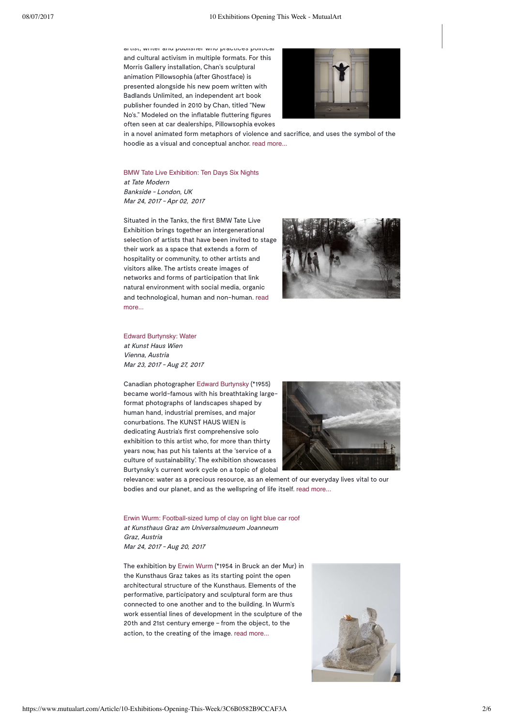artist, writer and publisher who practices political and cultural activism in multiple formats. For this Morris Gallery installation, Chan's sculptural animation Pillowsophia (after Ghostface) is presented alongside his new poem written with Badlands Unlimited, an independent art book publisher founded in 2010 by Chan, titled "New No's." Modeled on the inflatable fluttering figures often seen at car dealerships, Pillowsophia evokes



in a novel animated form metaphors of violence and sacrifice, and uses the symbol of the hoodie as a visual and conceptual anchor. [read more...](https://www.mutualart.com/Exhibition/Paul-Chan--Pillowsophia/D7B3528C049ABEEC)

[BMW Tate Live Exhibition: Ten Days Six Nights](https://www.mutualart.com/Exhibition/BMW-Tate-Live-Exhibition--Ten-Days-Six-N/B8EBC32E11D2DBF2) at Tate Modern Bankside - London, UK Mar 24, 2017 - Apr 02, 2017

Situated in the Tanks, the first BMW Tate Live Exhibition brings together an intergenerational selection of artists that have been invited to stage their work as a space that extends a form of hospitality or community, to other artists and visitors alike. The artists create images of networks and forms of participation that link natural environment with social media, organic and [technological,](https://www.mutualart.com/Exhibition/BMW-Tate-Live-Exhibition--Ten-Days-Six-N/B8EBC32E11D2DBF2) human and non-human. read more...



[Edward Burtynsky: Water](https://www.mutualart.com/Exhibition/Edward-Burtynsky--Water/0551EC0AA20B6C22) at Kunst Haus Wien

Vienna, Austria Mar 23, 2017 - Aug 27, 2017

Canadian photographer [Edward Burtynsky](https://www.mutualart.com/Artist/Edward-Burtynsky/22B3655E126D33E9) (\*1955) became world-famous with his breathtaking largeformat photographs of landscapes shaped by human hand, industrial premises, and major conurbations. The KUNST HAUS WIEN is dedicating Austria's first comprehensive solo exhibition to this artist who, for more than thirty years now, has put his talents at the 'service of a culture of sustainability'. The exhibition showcases Burtynsky's current work cycle on a topic of global



relevance: water as a precious resource, as an element of our everyday lives vital to our bodies and our planet, and as the wellspring of life itself. [read more...](https://www.mutualart.com/Exhibition/Edward-Burtynsky--Water/0551EC0AA20B6C22)

[Erwin Wurm: Football-sized lump of clay on light blue car roof](https://www.mutualart.com/Exhibition/Erwin-Wurm--Football-sized-lump-of-clay-/D2EDFF0105B0F7DF) at Kunsthaus Graz am Universalmuseum Joanneum Graz, Austria Mar 24, 2017 - Aug 20, 2017

The exhibition by [Erwin Wurm](https://www.mutualart.com/Artist/Erwin-Wurm/534CD6995A1CFD51) (\*1954 in Bruck an der Mur) in the Kunsthaus Graz takes as its starting point the open architectural structure of the Kunsthaus. Elements of the performative, participatory and sculptural form are thus connected to one another and to the building. In Wurm's work essential lines of development in the sculpture of the 20th and 21st century emerge – from the object, to the action, to the creating of the image. [read more...](https://www.mutualart.com/Exhibition/Erwin-Wurm--Football-sized-lump-of-clay-/D2EDFF0105B0F7DF)

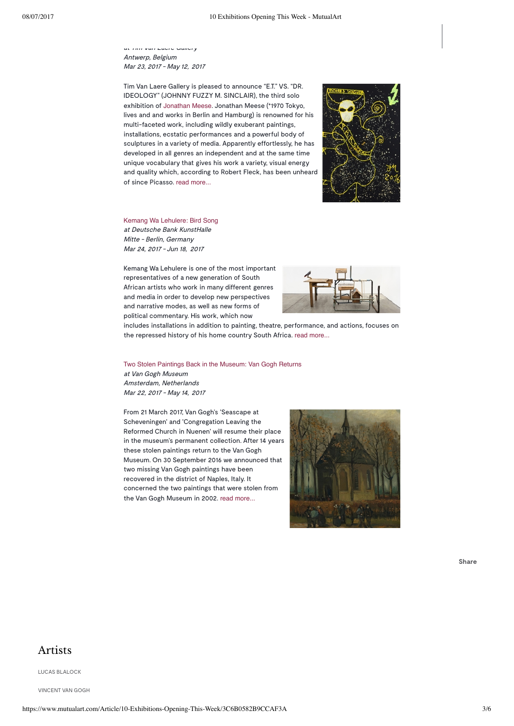at Tim Van Laere Gallery Antwerp, Belgium Mar 23, 2017 - May 12, 2017

Tim Van Laere Gallery is pleased to announce "E.T." VS. "DR. IDEOLOGY" (JOHNNY FUZZY M. SINCLAIR), the third solo exhibition of [Jonathan Meese](https://www.mutualart.com/Artist/Jonathan-Meese/EF1CFE5922B683F7). Jonathan Meese (°1970 Tokyo, lives and and works in Berlin and Hamburg) is renowned for his multi-faceted work, including wildly exuberant paintings, installations, ecstatic performances and a powerful body of sculptures in a variety of media. Apparently effortlessly, he has developed in all genres an independent and at the same time unique vocabulary that gives his work a variety, visual energy and quality which, according to Robert Fleck, has been unheard of since Picasso. [read more...](https://www.mutualart.com/Exhibition/Jonathan-Meese---E-T---VS---DR--IDEOLOGY/62C1F8DF8AD0629B)



[Kemang Wa Lehulere: Bird Song](https://www.mutualart.com/Exhibition/Kemang-Wa-Lehulere--Bird-Song/AD35FF9AFC6F9168) at Deutsche Bank KunstHalle Mitte - Berlin, Germany Mar 24, 2017 - Jun 18, 2017

Kemang Wa Lehulere is one of the most important representatives of a new generation of South African artists who work in many different genres and media in order to develop new perspectives and narrative modes, as well as new forms of political commentary. His work, which now



includes installations in addition to painting, theatre, performance, and actions, focuses on the repressed history of his home country South Africa. [read more...](https://www.mutualart.com/Exhibition/Kemang-Wa-Lehulere--Bird-Song/AD35FF9AFC6F9168)

[Two Stolen Paintings Back in the Museum: Van Gogh Returns](https://www.mutualart.com/Exhibition/Two-Stolen-Paintings-Back-in-the-Museum-/4D1DE2617EBF47F0) at Van Gogh Museum Amsterdam, Netherlands Mar 22, 2017 - May 14, 2017

From 21 March 2017, Van Gogh's 'Seascape at Scheveningen' and 'Congregation Leaving the Reformed Church in Nuenen' will resume their place in the museum's permanent collection. After 14 years these stolen paintings return to the Van Gogh Museum. On 30 September 2016 we announced that two missing Van Gogh paintings have been recovered in the district of Naples, Italy. It concerned the two paintings that were stolen from the Van Gogh Museum in 2002. [read more...](https://www.mutualart.com/Exhibition/Two-Stolen-Paintings-Back-in-the-Museum-/4D1DE2617EBF47F0)



**Share**

### Artists

LUCAS [BLALOCK](https://www.mutualart.com/Artist/Lucas-Blalock/5BE17E5888F64EA9)

[VINCENT](https://www.mutualart.com/Artist/Vincent-van-Gogh/7B9431E0214A25BE) VAN GOGH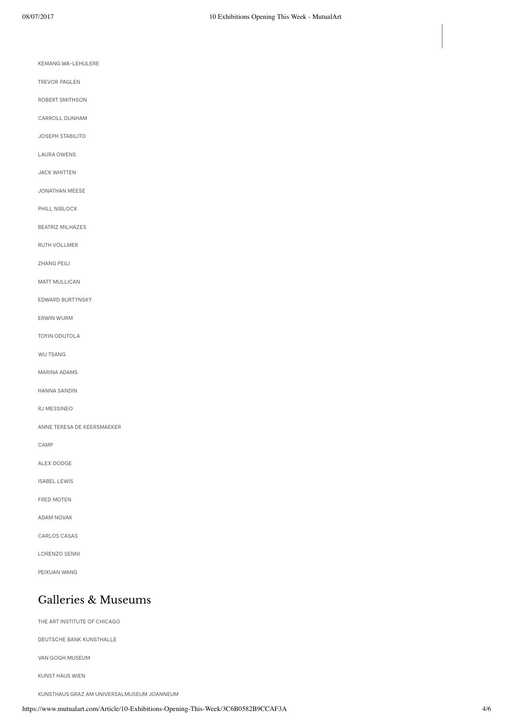KEMANG [WA-LEHULERE](https://www.mutualart.com/Artist/Kemang-Wa-Lehulere/B7B311C11681193D)

[TREVOR](https://www.mutualart.com/Artist/Trevor-Paglen/64D296E21FF7E87B) PAGLEN

ROBERT [SMITHSON](https://www.mutualart.com/Artist/Robert-Smithson/92D2EB7DDE01F33C)

[CARROLL](https://www.mutualart.com/Artist/Carroll-Dunham/17A94FFF651FC061) DUNHAM

JOSEPH [STABILITO](https://www.mutualart.com/Artist/Joseph-Stabilito/87B48BB153B2FB26)

LAURA [OWENS](https://www.mutualart.com/Artist/Laura-Owens/18CA14BC1727EFF9)

JACK [WHITTEN](https://www.mutualart.com/Artist/Jack-Whitten/0A513D1A27186697)

[JONATHAN](https://www.mutualart.com/Artist/Jonathan-Meese/EF1CFE5922B683F7) MEESE

PHILL [NIBLOCK](https://www.mutualart.com/Artist/Phill-Niblock/EC272C9ACC5B9BC0)

[BEATRIZ MILHAZES](https://www.mutualart.com/Artist/Beatriz-Milhazes/4E706CE4C97185BC)

RUTH [VOLLMER](https://www.mutualart.com/Artist/Ruth-Vollmer/000B062D423D2D67)

[ZHANG](https://www.mutualart.com/Artist/Zhang-Peili/51F0B6E1BA3C17A1) PEILI

MATT [MULLICAN](https://www.mutualart.com/Artist/Matt-Mullican/96EE960D51DD3989)

EDWARD [BURTYNSKY](https://www.mutualart.com/Artist/Edward-Burtynsky/22B3655E126D33E9)

[ERWIN](https://www.mutualart.com/Artist/Erwin-Wurm/534CD6995A1CFD51) WURM

TOYIN [ODUTOLA](https://www.mutualart.com/Artist/Toyin-Odutola/B3DEEE6CE57914F0)

WU [TSANG](https://www.mutualart.com/Artist/Wu-Tsang/1168B517B8F55D03)

[MARINA](https://www.mutualart.com/Artist/Marina-Adams/F8B6C153B2928277) ADAMS

HANNA [SANDIN](https://www.mutualart.com/Artist/Hanna-Sandin/0A51BD5D5E74E1DB)

RJ [MESSINEO](https://www.mutualart.com/Artist/RJ-Messineo/7A5533790DAB0DA3)

ANNE TERESA DE [KEERSMAEKER](https://www.mutualart.com/Artist/Anne-Teresa-De-Keersmaeker/B77693E385D3ED31)

[CAMP](https://www.mutualart.com/Artist/CAMP/8C4DBED20C9F8F0F)

ALEX [DODGE](https://www.mutualart.com/Artist/Alex-Dodge/1C2C3FF81F966E5B)

[ISABEL](https://www.mutualart.com/Artist/Isabel-Lewis/435889389443F5F1) LEWIS

FRED [MOTEN](https://www.mutualart.com/Artist/Fred-Moten/47ECC5C433144B1D)

ADAM [NOVAK](https://www.mutualart.com/Artist/Adam-Novak/2F0F5DEB774C54BF)

[CARLOS](https://www.mutualart.com/Artist/Carlos-Casas/54E704FBCF3067AC) CASAS

[LORENZO](https://www.mutualart.com/Artist/Lorenzo-Senni/D9C3ECD8E7ABE139) SENNI

[PEIXUAN](https://www.mutualart.com/Artist/Peixuan-Wang/3B4E6302ABF552EC) WANG

## Galleries & Museums

THE ART [INSTITUTE](https://www.mutualart.com/Organization/The-Art-Institute-of-Chicago/A242C274A275EDCF) OF CHICAGO

DEUTSCHE BANK [KUNSTHALLE](https://www.mutualart.com/Organization/Deutsche-Bank-KunstHalle/53C2EDABF77CDA38)

VAN GOGH [MUSEUM](https://www.mutualart.com/Organization/Van-Gogh-Museum/9E0AA90F7720A3FA)

[KUNST](https://www.mutualart.com/Organization/Kunst-Haus-Wien/4FB5FAC595E2AEEF) HAUS WIEN

KUNSTHAUS GRAZ AM [UNIVERSALMUSEUM](https://www.mutualart.com/Organization/Kunsthaus-Graz-am-Universalmuseum-Joanne/7B26B8AA849FFC6C) JOANNEUM